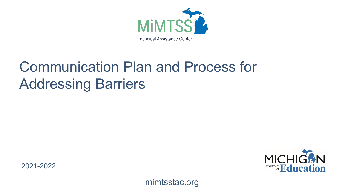

# Communication Plan and Process for Addressing Barriers

2021-2022



mimtsstac.org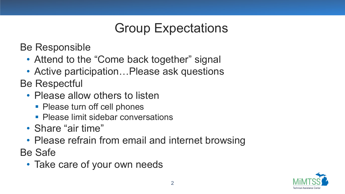## Group Expectations

Be Responsible

- Attend to the "Come back together" signal
- Active participation... Please ask questions

Be Respectful

- Please allow others to listen
	- Please turn off cell phones
	- **Please limit sidebar conversations**
- Share "air time"
- Please refrain from email and internet browsing

Be Safe

• Take care of your own needs

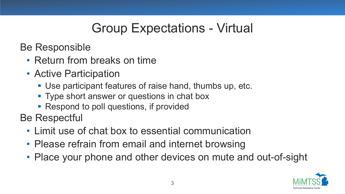## Group Expectations - Virtual

Be Responsible

- Return from breaks on time
- Active Participation
	- Use participant features of raise hand, thumbs up, etc.
	- **Type short answer or questions in chat box**
	- Respond to poll questions, if provided

Be Respectful

- Limit use of chat box to essential communication
- Please refrain from email and internet browsing
- Place your phone and other devices on mute and out-of-sight

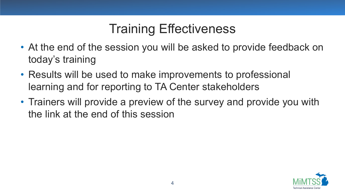## Training Effectiveness

- At the end of the session you will be asked to provide feedback on today's training
- Results will be used to make improvements to professional learning and for reporting to TA Center stakeholders
- Trainers will provide a preview of the survey and provide you with the link at the end of this session

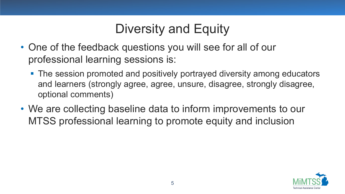## Diversity and Equity

- One of the feedback questions you will see for all of our professional learning sessions is:
	- The session promoted and positively portrayed diversity among educators and learners (strongly agree, agree, unsure, disagree, strongly disagree, optional comments)
- We are collecting baseline data to inform improvements to our MTSS professional learning to promote equity and inclusion

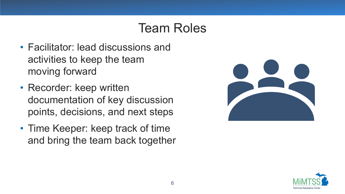#### Team Roles

- Facilitator: lead discussions and activities to keep the team moving forward
- Recorder: keep written documentation of key discussion points, decisions, and next steps
- Time Keeper: keep track of time and bring the team back together



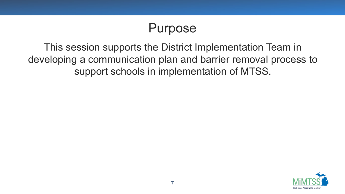#### Purpose

This session supports the District Implementation Team in developing a communication plan and barrier removal process to support schools in implementation of MTSS.

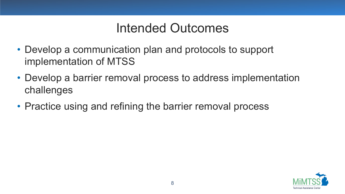#### Intended Outcomes

- Develop a communication plan and protocols to support implementation of MTSS
- Develop a barrier removal process to address implementation challenges
- Practice using and refining the barrier removal process

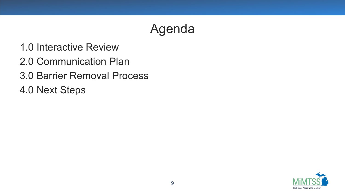#### Agenda

- 1.0 Interactive Review
- 2.0 Communication Plan
- 3.0 Barrier Removal Process
- 4.0 Next Steps

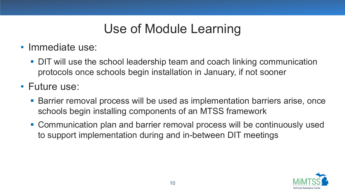## Use of Module Learning

- Immediate use:
	- DIT will use the school leadership team and coach linking communication protocols once schools begin installation in January, if not sooner

• Future use:

- Barrier removal process will be used as implementation barriers arise, once schools begin installing components of an MTSS framework
- Communication plan and barrier removal process will be continuously used to support implementation during and in-between DIT meetings

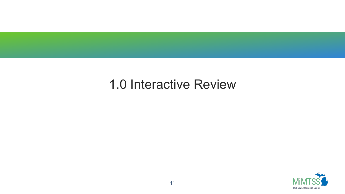#### 1.0 Interactive Review

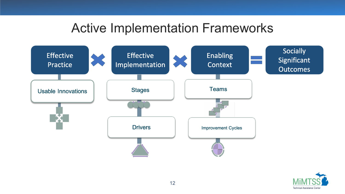#### Active Implementation Frameworks



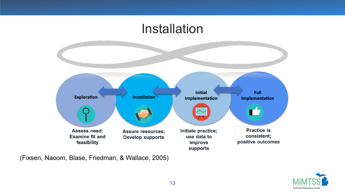#### Installation



(Fixsen, Naoom, Blase, Friedman, & Wallace, 2005)

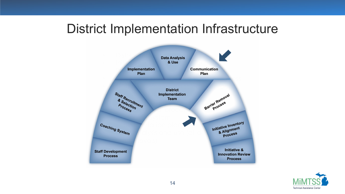#### District Implementation Infrastructure



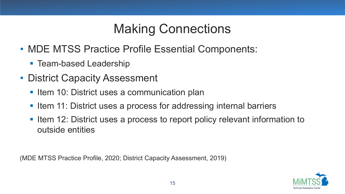## Making Connections

- MDE MTSS Practice Profile Essential Components:
	- Team-based Leadership
- District Capacity Assessment
	- Item 10: District uses a communication plan
	- Item 11: District uses a process for addressing internal barriers
	- Iftem 12: District uses a process to report policy relevant information to outside entities

(MDE MTSS Practice Profile, 2020; District Capacity Assessment, 2019)

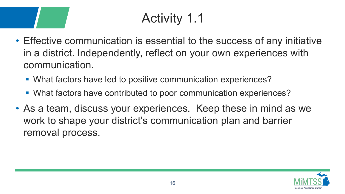# Activity 1.1

- Effective communication is essential to the success of any initiative in a district. Independently, reflect on your own experiences with communication.
	- What factors have led to positive communication experiences?
	- What factors have contributed to poor communication experiences?
- As a team, discuss your experiences. Keep these in mind as we work to shape your district's communication plan and barrier removal process.

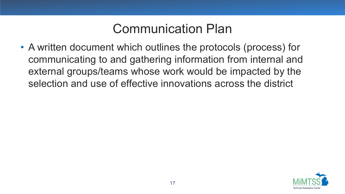#### Communication Plan

• A written document which outlines the protocols (process) for communicating to and gathering information from internal and external groups/teams whose work would be impacted by the selection and use of effective innovations across the district

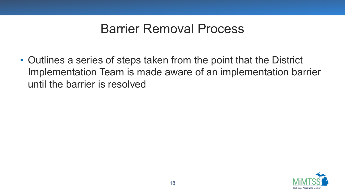#### Barrier Removal Process

• Outlines a series of steps taken from the point that the District Implementation Team is made aware of an implementation barrier until the barrier is resolved

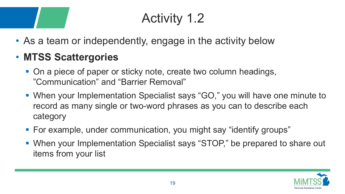# Activity 1.2

• As a team or independently, engage in the activity below

#### • **MTSS Scattergories**

- On a piece of paper or sticky note, create two column headings, "Communication" and "Barrier Removal"
- When your Implementation Specialist says "GO," you will have one minute to record as many single or two-word phrases as you can to describe each category
- For example, under communication, you might say "identify groups"
- When your Implementation Specialist says "STOP," be prepared to share out items from your list

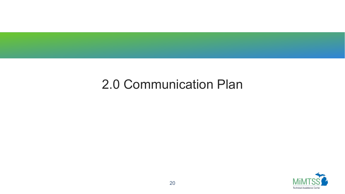#### 2.0 Communication Plan

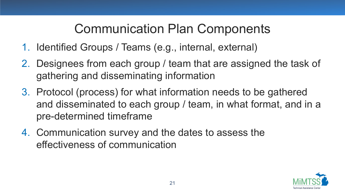## Communication Plan Components

- 1. Identified Groups / Teams (e.g., internal, external)
- 2. Designees from each group / team that are assigned the task of gathering and disseminating information
- 3. Protocol (process) for what information needs to be gathered and disseminated to each group / team, in what format, and in a pre-determined timeframe
- 4. Communication survey and the dates to assess the effectiveness of communication

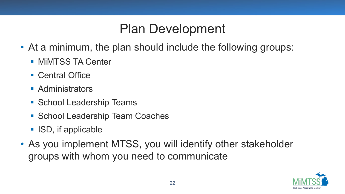#### Plan Development

- At a minimum, the plan should include the following groups:
	- **MIMTSS TA Center**
	- **Central Office**
	- Administrators
	- **School Leadership Teams**
	- **School Leadership Team Coaches**
	- ISD, if applicable
- As you implement MTSS, you will identify other stakeholder groups with whom you need to communicate

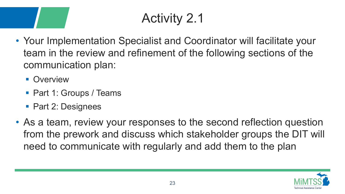# Activity 2.1

- Your Implementation Specialist and Coordinator will facilitate your team in the review and refinement of the following sections of the communication plan:
	- **Overview**
	- Part 1: Groups / Teams
	- Part 2: Designees
- As a team, review your responses to the second reflection question from the prework and discuss which stakeholder groups the DIT will need to communicate with regularly and add them to the plan

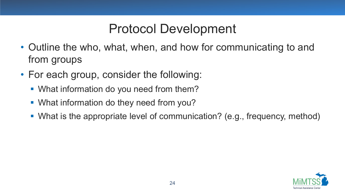### Protocol Development

- Outline the who, what, when, and how for communicating to and from groups
- For each group, consider the following:
	- **What information do you need from them?**
	- What information do they need from you?
	- What is the appropriate level of communication? (e.g., frequency, method)

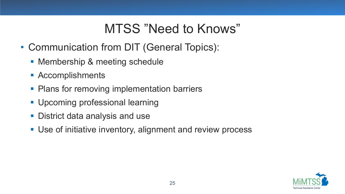#### MTSS "Need to Knows"

- Communication from DIT (General Topics):
	- **Membership & meeting schedule**
	- **Accomplishments**
	- **Plans for removing implementation barriers**
	- **Upcoming professional learning**
	- **District data analysis and use**
	- Use of initiative inventory, alignment and review process

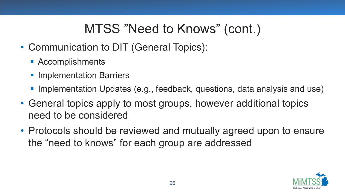## MTSS "Need to Knows" (cont.)

- Communication to DIT (General Topics):
	- **Accomplishments**
	- **Implementation Barriers**
	- Implementation Updates (e.g., feedback, questions, data analysis and use)
- General topics apply to most groups, however additional topics need to be considered
- Protocols should be reviewed and mutually agreed upon to ensure the "need to knows" for each group are addressed

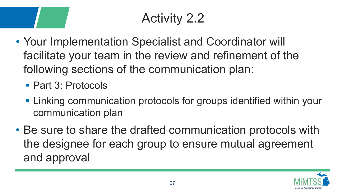# Activity 2.2

- Your Implementation Specialist and Coordinator will facilitate your team in the review and refinement of the following sections of the communication plan:
	- Part 3: Protocols
	- **Example 20 Figure 10 Figure 10 Figure 10 Figure 10 Figure 10 Figure 10 Figure 10 Figure 10 Figure 10 Figure 10** communication plan
- Be sure to share the drafted communication protocols with the designee for each group to ensure mutual agreement and approval

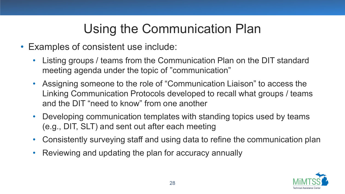## Using the Communication Plan

- Examples of consistent use include:
	- Listing groups / teams from the Communication Plan on the DIT standard meeting agenda under the topic of "communication"
	- Assigning someone to the role of "Communication Liaison" to access the Linking Communication Protocols developed to recall what groups / teams and the DIT "need to know" from one another
	- Developing communication templates with standing topics used by teams (e.g., DIT, SLT) and sent out after each meeting
	- Consistently surveying staff and using data to refine the communication plan
	- Reviewing and updating the plan for accuracy annually

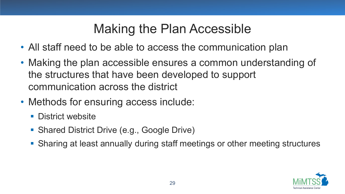### Making the Plan Accessible

- All staff need to be able to access the communication plan
- Making the plan accessible ensures a common understanding of the structures that have been developed to support communication across the district
- Methods for ensuring access include:
	- **District website**
	- **Shared District Drive (e.g., Google Drive)**
	- Sharing at least annually during staff meetings or other meeting structures

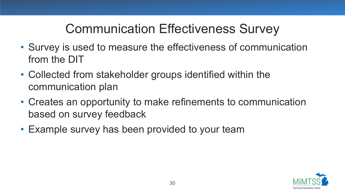## Communication Effectiveness Survey

- Survey is used to measure the effectiveness of communication from the DIT
- Collected from stakeholder groups identified within the communication plan
- Creates an opportunity to make refinements to communication based on survey feedback
- Example survey has been provided to your team

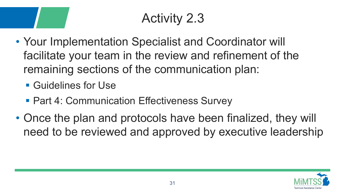# Activity 2.3

- Your Implementation Specialist and Coordinator will facilitate your team in the review and refinement of the remaining sections of the communication plan:
	- **Guidelines for Use**
	- **Part 4: Communication Effectiveness Survey**
- Once the plan and protocols have been finalized, they will need to be reviewed and approved by executive leadership

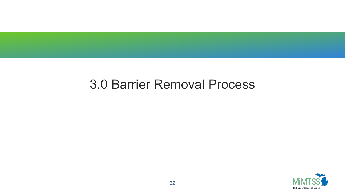#### 3.0 Barrier Removal Process

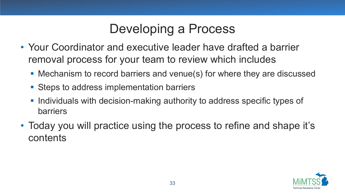## Developing a Process

- Your Coordinator and executive leader have drafted a barrier removal process for your team to review which includes
	- Mechanism to record barriers and venue(s) for where they are discussed
	- Steps to address implementation barriers
	- **Individuals with decision-making authority to address specific types of** barriers
- Today you will practice using the process to refine and shape it's contents

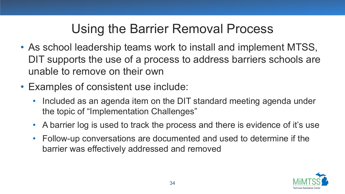## Using the Barrier Removal Process

- As school leadership teams work to install and implement MTSS, DIT supports the use of a process to address barriers schools are unable to remove on their own
- Examples of consistent use include:
	- Included as an agenda item on the DIT standard meeting agenda under the topic of "Implementation Challenges"
	- A barrier log is used to track the process and there is evidence of it's use
	- Follow-up conversations are documented and used to determine if the barrier was effectively addressed and removed

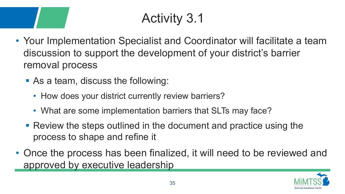# Activity 3.1

- Your Implementation Specialist and Coordinator will facilitate a team discussion to support the development of your district's barrier removal process
	- As a team, discuss the following:
		- How does your district currently review barriers?
		- What are some implementation barriers that SLTs may face?
	- Review the steps outlined in the document and practice using the process to shape and refine it
- Once the process has been finalized, it will need to be reviewed and approved by executive leadership

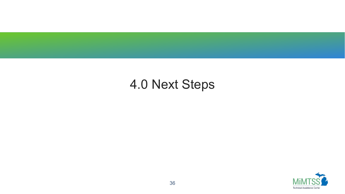#### 4.0 Next Steps

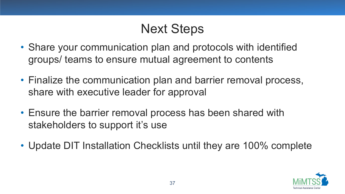## Next Steps

- Share your communication plan and protocols with identified groups/ teams to ensure mutual agreement to contents
- Finalize the communication plan and barrier removal process, share with executive leader for approval
- Ensure the barrier removal process has been shared with stakeholders to support it's use
- Update DIT Installation Checklists until they are 100% complete